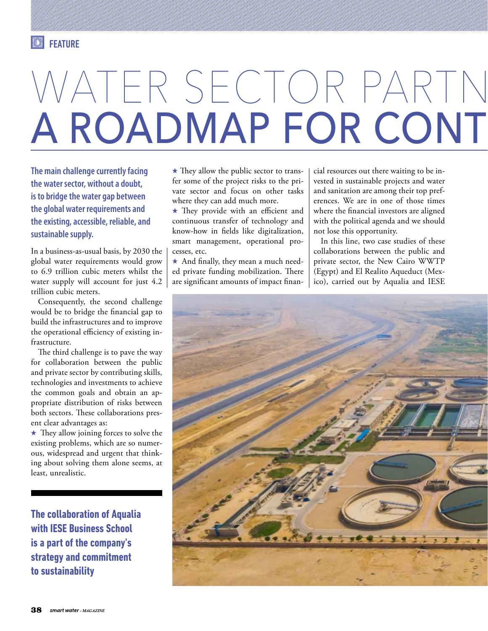## WATER SECTOR PARTN A ROADMAP FOR CONT

**The main challenge currently facing the water sector, without a doubt, is to bridge the water gap between the global water requirements and the existing, accessible, reliable, and sustainable supply.** 

In a business-as-usual basis, by 2030 the global water requirements would grow to 6.9 trillion cubic meters whilst the water supply will account for just 4.2 trillion cubic meters.

Consequently, the second challenge would be to bridge the financial gap to build the infrastructures and to improve the operational efficiency of existing infrastructure.

The third challenge is to pave the way for collaboration between the public and private sector by contributing skills, technologies and investments to achieve the common goals and obtain an appropriate distribution of risks between both sectors. These collaborations present clear advantages as:

 $\star$  They allow joining forces to solve the existing problems, which are so numerous, widespread and urgent that thinking about solving them alone seems, at least, unrealistic.

**The collaboration of Aqualia with IESE Business School is a part of the company's strategy and commitment to sustainability**

 $\star$  They allow the public sector to transfer some of the project risks to the private sector and focus on other tasks where they can add much more.

 $\star$  They provide with an efficient and continuous transfer of technology and know-how in fields like digitalization, smart management, operational processes, etc.

 $\star$  And finally, they mean a much needed private funding mobilization. There are significant amounts of impact financial resources out there waiting to be invested in sustainable projects and water and sanitation are among their top preferences. We are in one of those times where the financial investors are aligned with the political agenda and we should not lose this opportunity.

In this line, two case studies of these collaborations between the public and private sector, the New Cairo WWTP (Egypt) and El Realito Aqueduct (Mexico), carried out by Aqualia and IESE

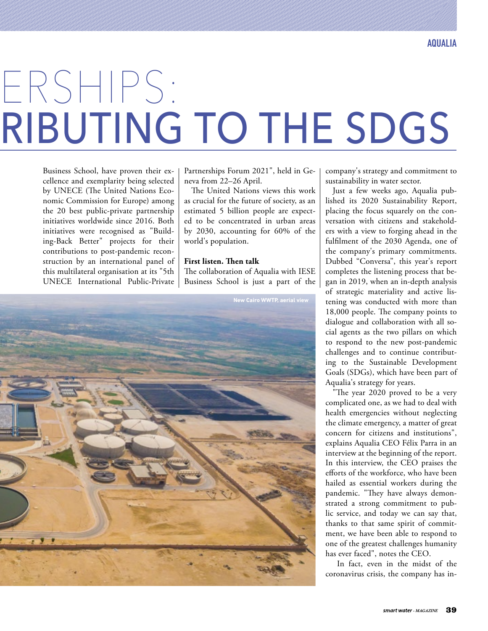## ERSHIPS: RIBUTING TO THE SDGS

Business School, have proven their excellence and exemplarity being selected by UNECE (The United Nations Economic Commission for Europe) among the 20 best public-private partnership initiatives worldwide since 2016. Both initiatives were recognised as "Building-Back Better" projects for their contributions to post-pandemic reconstruction by an international panel of this multilateral organisation at its "5th UNECE International Public-Private Partnerships Forum 2021", held in Geneva from 22–26 April.

The United Nations views this work as crucial for the future of society, as an estimated 5 billion people are expected to be concentrated in urban areas by 2030, accounting for 60% of the world's population.

## **First listen. Then talk**

The collaboration of Aqualia with IESE Business School is just a part of the



company's strategy and commitment to sustainability in water sector.

Just a few weeks ago, Aqualia published its 2020 Sustainability Report, placing the focus squarely on the conversation with citizens and stakeholders with a view to forging ahead in the fulfilment of the 2030 Agenda, one of the company's primary commitments. Dubbed "Conversa", this year's report completes the listening process that began in 2019, when an in-depth analysis of strategic materiality and active listening was conducted with more than 18,000 people. The company points to dialogue and collaboration with all social agents as the two pillars on which to respond to the new post-pandemic challenges and to continue contributing to the Sustainable Development Goals (SDGs), which have been part of Aqualia's strategy for years.

"The year 2020 proved to be a very complicated one, as we had to deal with health emergencies without neglecting the climate emergency, a matter of great concern for citizens and institutions", explains Aqualia CEO Félix Parra in an interview at the beginning of the report. In this interview, the CEO praises the efforts of the workforce, who have been hailed as essential workers during the pandemic. "They have always demonstrated a strong commitment to public service, and today we can say that, thanks to that same spirit of commitment, we have been able to respond to one of the greatest challenges humanity has ever faced", notes the CEO.

 In fact, even in the midst of the coronavirus crisis, the company has in-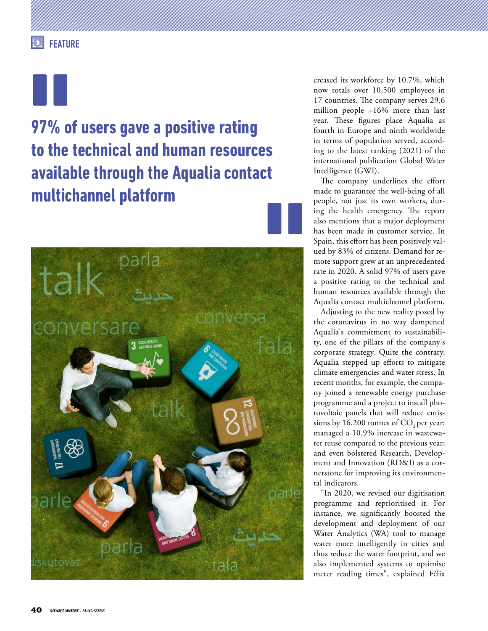**97% of users gave a positive rating to the technical and human resources available through the Aqualia contact multichannel platform**



creased its workforce by 10.7%, which now totals over 10,500 employees in 17 countries. The company serves 29.6 million people –16% more than last year. These figures place Aqualia as fourth in Europe and ninth worldwide in terms of population served, according to the latest ranking (2021) of the international publication Global Water Intelligence (GWI).

The company underlines the effort made to guarantee the well-being of all people, not just its own workers, during the health emergency. The report also mentions that a major deployment has been made in customer service. In Spain, this effort has been positively valued by 83% of citizens. Demand for remote support grew at an unprecedented rate in 2020. A solid 97% of users gave a positive rating to the technical and human resources available through the Aqualia contact multichannel platform.

Adjusting to the new reality posed by the coronavirus in no way dampened Aqualia's commitment to sustainability, one of the pillars of the company's corporate strategy. Quite the contrary, Aqualia stepped up efforts to mitigate climate emergencies and water stress. In recent months, for example, the company joined a renewable energy purchase programme and a project to install photovoltaic panels that will reduce emissions by  $16,200$  tonnes of  $CO$ , per year; managed a 10.9% increase in wastewater reuse compared to the previous year; and even bolstered Research, Development and Innovation (RD&I) as a cornerstone for improving its environmental indicators.

"In 2020, we revised our digitisation programme and reprioritised it. For instance, we significantly boosted the development and deployment of our Water Analytics (WA) tool to manage water more intelligently in cities and thus reduce the water footprint, and we also implemented systems to optimise meter reading times", explained Félix